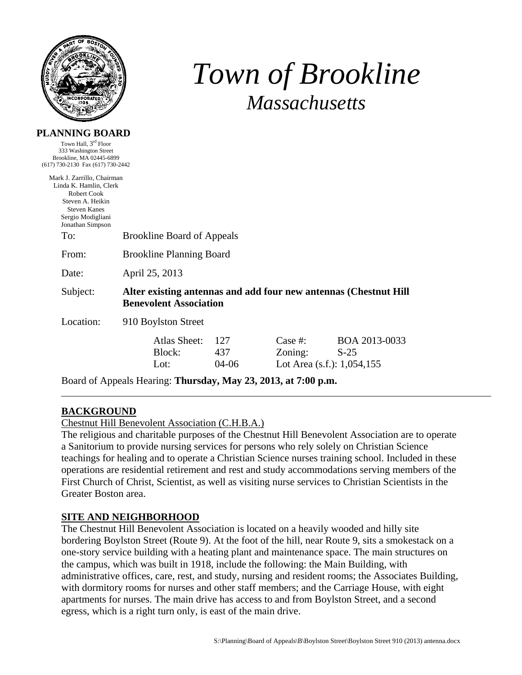

# *Town of Brookline Massachusetts*

#### **PLANNING BOARD**

Town Hall, 3rd Floor 333 Washington Street Brookline, MA 02445-6899 (617) 730-2130 Fax (617) 730-2442

| Mark J. Zarrillo, Chairman<br>Linda K. Hamlin, Clerk<br><b>Robert Cook</b><br>Steven A. Heikin<br><b>Steven Kanes</b><br>Sergio Modigliani<br>Jonathan Simpson |                                                                                                   |                     |                                                      |                         |
|----------------------------------------------------------------------------------------------------------------------------------------------------------------|---------------------------------------------------------------------------------------------------|---------------------|------------------------------------------------------|-------------------------|
| To:                                                                                                                                                            | <b>Brookline Board of Appeals</b>                                                                 |                     |                                                      |                         |
| From:                                                                                                                                                          | <b>Brookline Planning Board</b>                                                                   |                     |                                                      |                         |
| Date:                                                                                                                                                          | April 25, 2013                                                                                    |                     |                                                      |                         |
| Subject:                                                                                                                                                       | Alter existing antennas and add four new antennas (Chestnut Hill<br><b>Benevolent Association</b> |                     |                                                      |                         |
| Location:                                                                                                                                                      | 910 Boylston Street                                                                               |                     |                                                      |                         |
|                                                                                                                                                                | Atlas Sheet:<br>Block:<br>Lot:                                                                    | 127<br>437<br>04-06 | Case  #:<br>Zoning:<br>Lot Area $(s.f.)$ : 1,054,155 | BOA 2013-0033<br>$S-25$ |

Board of Appeals Hearing: **Thursday, May 23, 2013, at 7:00 p.m.** 

## **BACKGROUND**

Chestnut Hill Benevolent Association (C.H.B.A.)

The religious and charitable purposes of the Chestnut Hill Benevolent Association are to operate a Sanitorium to provide nursing services for persons who rely solely on Christian Science teachings for healing and to operate a Christian Science nurses training school. Included in these operations are residential retirement and rest and study accommodations serving members of the First Church of Christ, Scientist, as well as visiting nurse services to Christian Scientists in the Greater Boston area.

## **SITE AND NEIGHBORHOOD**

The Chestnut Hill Benevolent Association is located on a heavily wooded and hilly site bordering Boylston Street (Route 9). At the foot of the hill, near Route 9, sits a smokestack on a one-story service building with a heating plant and maintenance space. The main structures on the campus, which was built in 1918, include the following: the Main Building, with administrative offices, care, rest, and study, nursing and resident rooms; the Associates Building, with dormitory rooms for nurses and other staff members; and the Carriage House, with eight apartments for nurses. The main drive has access to and from Boylston Street, and a second egress, which is a right turn only, is east of the main drive.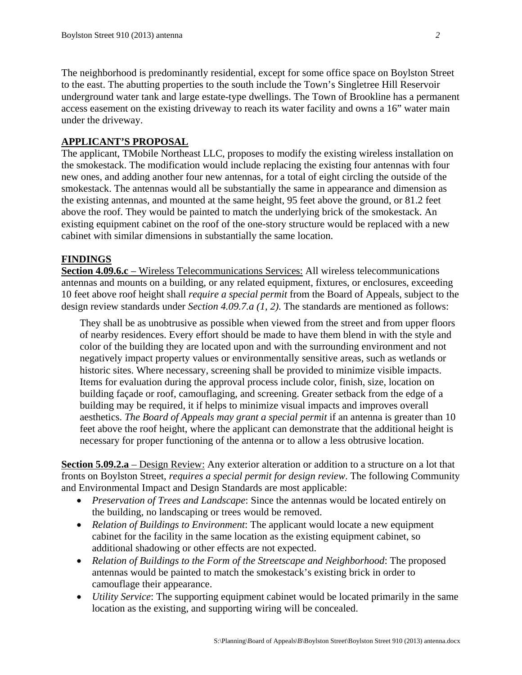The neighborhood is predominantly residential, except for some office space on Boylston Street to the east. The abutting properties to the south include the Town's Singletree Hill Reservoir underground water tank and large estate-type dwellings. The Town of Brookline has a permanent access easement on the existing driveway to reach its water facility and owns a 16" water main under the driveway.

### **APPLICANT'S PROPOSAL**

The applicant, TMobile Northeast LLC, proposes to modify the existing wireless installation on the smokestack. The modification would include replacing the existing four antennas with four new ones, and adding another four new antennas, for a total of eight circling the outside of the smokestack. The antennas would all be substantially the same in appearance and dimension as the existing antennas, and mounted at the same height, 95 feet above the ground, or 81.2 feet above the roof. They would be painted to match the underlying brick of the smokestack. An existing equipment cabinet on the roof of the one-story structure would be replaced with a new cabinet with similar dimensions in substantially the same location.

#### **FINDINGS**

**Section 4.09.6.c** – Wireless Telecommunications Services: All wireless telecommunications antennas and mounts on a building, or any related equipment, fixtures, or enclosures, exceeding 10 feet above roof height shall *require a special permit* from the Board of Appeals, subject to the design review standards under *Section 4.09.7.a (1, 2)*. The standards are mentioned as follows:

They shall be as unobtrusive as possible when viewed from the street and from upper floors of nearby residences. Every effort should be made to have them blend in with the style and color of the building they are located upon and with the surrounding environment and not negatively impact property values or environmentally sensitive areas, such as wetlands or historic sites. Where necessary, screening shall be provided to minimize visible impacts. Items for evaluation during the approval process include color, finish, size, location on building façade or roof, camouflaging, and screening. Greater setback from the edge of a building may be required, it if helps to minimize visual impacts and improves overall aesthetics. *The Board of Appeals may grant a special permit* if an antenna is greater than 10 feet above the roof height, where the applicant can demonstrate that the additional height is necessary for proper functioning of the antenna or to allow a less obtrusive location.

**Section 5.09.2.a** – Design Review: Any exterior alteration or addition to a structure on a lot that fronts on Boylston Street, *requires a special permit for design review*. The following Community and Environmental Impact and Design Standards are most applicable:

- *Preservation of Trees and Landscape*: Since the antennas would be located entirely on the building, no landscaping or trees would be removed.
- *Relation of Buildings to Environment*: The applicant would locate a new equipment cabinet for the facility in the same location as the existing equipment cabinet, so additional shadowing or other effects are not expected.
- *Relation of Buildings to the Form of the Streetscape and Neighborhood*: The proposed antennas would be painted to match the smokestack's existing brick in order to camouflage their appearance.
- *Utility Service*: The supporting equipment cabinet would be located primarily in the same location as the existing, and supporting wiring will be concealed.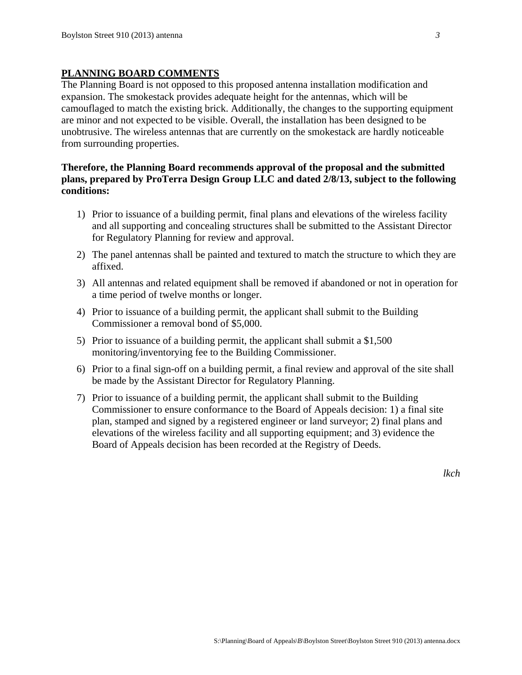## **PLANNING BOARD COMMENTS**

The Planning Board is not opposed to this proposed antenna installation modification and expansion. The smokestack provides adequate height for the antennas, which will be camouflaged to match the existing brick. Additionally, the changes to the supporting equipment are minor and not expected to be visible. Overall, the installation has been designed to be unobtrusive. The wireless antennas that are currently on the smokestack are hardly noticeable from surrounding properties.

## **Therefore, the Planning Board recommends approval of the proposal and the submitted plans, prepared by ProTerra Design Group LLC and dated 2/8/13, subject to the following conditions:**

- 1) Prior to issuance of a building permit, final plans and elevations of the wireless facility and all supporting and concealing structures shall be submitted to the Assistant Director for Regulatory Planning for review and approval.
- 2) The panel antennas shall be painted and textured to match the structure to which they are affixed.
- 3) All antennas and related equipment shall be removed if abandoned or not in operation for a time period of twelve months or longer.
- 4) Prior to issuance of a building permit, the applicant shall submit to the Building Commissioner a removal bond of \$5,000.
- 5) Prior to issuance of a building permit, the applicant shall submit a \$1,500 monitoring/inventorying fee to the Building Commissioner.
- 6) Prior to a final sign-off on a building permit, a final review and approval of the site shall be made by the Assistant Director for Regulatory Planning.
- 7) Prior to issuance of a building permit, the applicant shall submit to the Building Commissioner to ensure conformance to the Board of Appeals decision: 1) a final site plan, stamped and signed by a registered engineer or land surveyor; 2) final plans and elevations of the wireless facility and all supporting equipment; and 3) evidence the Board of Appeals decision has been recorded at the Registry of Deeds.

*lkch*